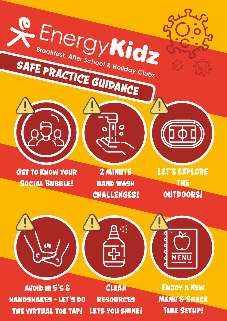

AVOID HI 5'S & **HANDSHAKES - LET'S DO** THE VIRTUAL TOE TAP!

CLEAN **RESOURCES** LETS YOU SHINE!

**ENJOY A NEW MENU & SNACK TIME SETUP!**